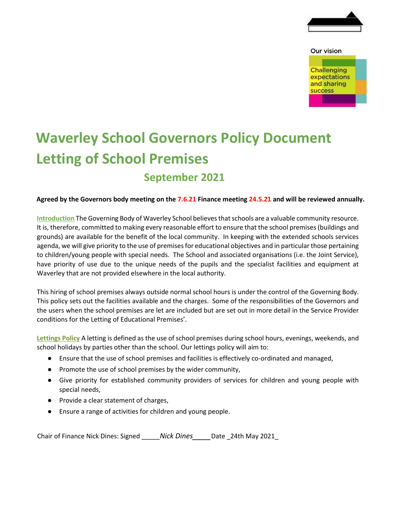

## Our vision **Challenging** expectations and sharing success

## **Waverley School Governors Policy Document Letting of School Premises September 2021**

## **Agreed by the Governors body meeting on the 7.6.21 Finance meeting 24.5.21 and will be reviewed annually.**

**Introduction** The Governing Body of Waverley School believes that schools are a valuable community resource. It is, therefore, committed to making every reasonable effort to ensure that the school premises (buildings and grounds) are available for the benefit of the local community. In keeping with the extended schools services agenda, we will give priority to the use of premises for educational objectives and in particular those pertaining to children/young people with special needs. The School and associated organisations (i.e. the Joint Service), have priority of use due to the unique needs of the pupils and the specialist facilities and equipment at Waverley that are not provided elsewhere in the local authority.

This hiring of school premises always outside normal school hours is under the control of the Governing Body. This policy sets out the facilities available and the charges. Some of the responsibilities of the Governors and the users when the school premises are let are included but are set out in more detail in the Service Provider conditions for the Letting of Educational Premises'.

**Lettings Policy** A letting is defined as the use of school premises during school hours, evenings, weekends, and school holidays by parties other than the school. Our lettings policy will aim to:

- Ensure that the use of school premises and facilities is effectively co-ordinated and managed,
- Promote the use of school premises by the wider community,
- Give priority for established community providers of services for children and young people with special needs,
- Provide a clear statement of charges,
- Ensure a range of activities for children and young people.

Chair of Finance Nick Dines: Signed \_\_\_\_\_*Nick Dines\_\_\_\_*Date \_24th May 2021\_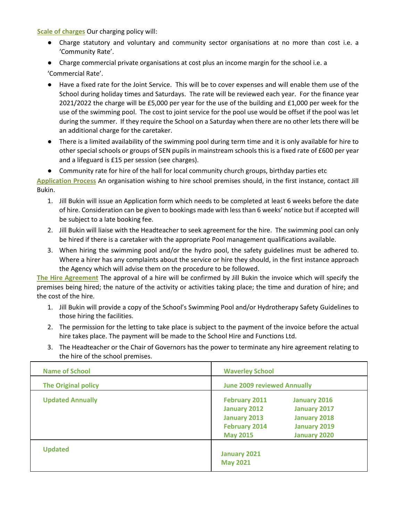**Scale of charges** Our charging policy will:

- Charge statutory and voluntary and community sector organisations at no more than cost i.e. a 'Community Rate'.
- Charge commercial private organisations at cost plus an income margin for the school i.e. a

'Commercial Rate'.

- Have a fixed rate for the Joint Service. This will be to cover expenses and will enable them use of the School during holiday times and Saturdays. The rate will be reviewed each year. For the finance year 2021/2022 the charge will be £5,000 per year for the use of the building and £1,000 per week for the use of the swimming pool. The cost to joint service for the pool use would be offset if the pool was let during the summer. If they require the School on a Saturday when there are no other lets there will be an additional charge for the caretaker.
- There is a limited availability of the swimming pool during term time and it is only available for hire to other special schools or groups of SEN pupils in mainstream schools this is a fixed rate of £600 per year and a lifeguard is £15 per session (see charges).
- Community rate for hire of the hall for local community church groups, birthday parties etc

**Application Process** An organisation wishing to hire school premises should, in the first instance, contact Jill Bukin.

- 1. Jill Bukin will issue an Application form which needs to be completed at least 6 weeks before the date of hire. Consideration can be given to bookings made with less than 6 weeks' notice but if accepted will be subject to a late booking fee.
- 2. Jill Bukin will liaise with the Headteacher to seek agreement for the hire. The swimming pool can only be hired if there is a caretaker with the appropriate Pool management qualifications available.
- 3. When hiring the swimming pool and/or the hydro pool, the safety guidelines must be adhered to. Where a hirer has any complaints about the service or hire they should, in the first instance approach the Agency which will advise them on the procedure to be followed.

**The Hire Agreement** The approval of a hire will be confirmed by Jill Bukin the invoice which will specify the premises being hired; the nature of the activity or activities taking place; the time and duration of hire; and the cost of the hire.

- 1. Jill Bukin will provide a copy of the School's Swimming Pool and/or Hydrotherapy Safety Guidelines to those hiring the facilities.
- 2. The permission for the letting to take place is subject to the payment of the invoice before the actual hire takes place. The payment will be made to the School Hire and Functions Ltd.
- 3. The Headteacher or the Chair of Governors has the power to terminate any hire agreement relating to the hire of the school premises.

| <b>Name of School</b>      | <b>Waverley School</b>                 |                     |  |  |  |
|----------------------------|----------------------------------------|---------------------|--|--|--|
| <b>The Original policy</b> | <b>June 2009 reviewed Annually</b>     |                     |  |  |  |
| <b>Updated Annually</b>    | <b>February 2011</b>                   | <b>January 2016</b> |  |  |  |
|                            | <b>January 2012</b>                    | <b>January 2017</b> |  |  |  |
|                            | <b>January 2013</b>                    | <b>January 2018</b> |  |  |  |
|                            | <b>February 2014</b>                   | <b>January 2019</b> |  |  |  |
|                            | <b>May 2015</b>                        | <b>January 2020</b> |  |  |  |
| <b>Updated</b>             | <b>January 2021</b><br><b>May 2021</b> |                     |  |  |  |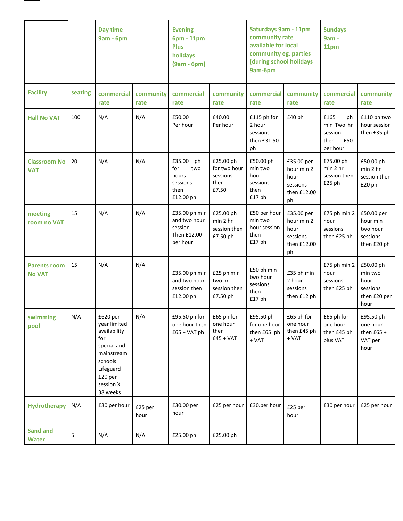

|                                      |         | Day time<br><b>9am - 6pm</b>                                                                                                             |                   | <b>Evening</b><br>6pm - 11pm<br><b>Plus</b><br>holidays<br>$(9am - 6pm)$ |                                                        | <b>Saturdays 9am - 11pm</b><br>community rate<br>available for local<br>community eg, parties<br>(during school holidays<br>9am-6pm |                                                                   | <b>Sundays</b><br>9am -<br>11pm                                |                                                                  |
|--------------------------------------|---------|------------------------------------------------------------------------------------------------------------------------------------------|-------------------|--------------------------------------------------------------------------|--------------------------------------------------------|-------------------------------------------------------------------------------------------------------------------------------------|-------------------------------------------------------------------|----------------------------------------------------------------|------------------------------------------------------------------|
| <b>Facility</b>                      | seating | commercial<br>rate                                                                                                                       | community<br>rate | commercial<br>rate                                                       | community<br>rate                                      | commercial<br>rate                                                                                                                  | community<br>rate                                                 | commercial<br>rate                                             | community<br>rate                                                |
| <b>Hall No VAT</b>                   | 100     | N/A                                                                                                                                      | N/A               | £50.00<br>Per hour                                                       | £40.00<br>Per hour                                     | £115 ph for<br>2 hour<br>sessions<br>then £31.50<br>ph                                                                              | £40 ph                                                            | £165<br>ph<br>min Two hr<br>session<br>£50<br>then<br>per hour | £110 ph two<br>hour session<br>then £35 ph                       |
| <b>Classroom No</b><br><b>VAT</b>    | 20      | N/A                                                                                                                                      | N/A               | £35.00<br>ph<br>for<br>two<br>hours<br>sessions<br>then<br>£12.00 ph     | £25.00 ph<br>for two hour<br>sessions<br>then<br>£7.50 | £50.00 ph<br>min two<br>hour<br>sessions<br>then<br>£17 ph                                                                          | £35.00 per<br>hour min 2<br>hour<br>sessions<br>then £12.00<br>ph | £75.00 ph<br>min 2 hr<br>session then<br>£25 ph                | £50.00 ph<br>min 2 hr<br>session then<br>£20 ph                  |
| meeting<br>room no VAT               | 15      | N/A                                                                                                                                      | N/A               | £35.00 ph min<br>and two hour<br>session<br>Then £12.00<br>per hour      | £25.00 ph<br>min 2 hr<br>session then<br>£7.50 ph      | £50 per hour<br>min two<br>hour session<br>then<br>£17 ph                                                                           | £35.00 per<br>hour min 2<br>hour<br>sessions<br>then £12.00<br>ph | £75 ph min 2<br>hour<br>sessions<br>then £25 ph                | £50.00 per<br>hour min<br>two hour<br>sessions<br>then £20 ph    |
| <b>Parents room</b><br><b>No VAT</b> | 15      | N/A                                                                                                                                      | N/A               | £35.00 ph min<br>and two hour<br>session then<br>£12.00 ph               | £25 ph min<br>two hr<br>session then<br>£7.50 ph       | £50 ph min<br>two hour<br>sessions<br>then<br>£17 ph                                                                                | £35 ph min<br>2 hour<br>sessions<br>then £12 ph                   | £75 ph min 2<br>hour<br>sessions<br>then £25 ph                | £50.00 ph<br>min two<br>hour<br>sessions<br>then £20 per<br>hour |
| swimming<br>pool                     | N/A     | £620 per<br>year limited<br>availability<br>for<br>special and<br>mainstream<br>schools<br>Lifeguard<br>£20 per<br>session X<br>38 weeks | N/A               | £95.50 ph for<br>one hour then<br>$£65 + VAT ph$                         | £65 ph for<br>one hour<br>then<br>$£45 + VAT$          | £95.50 ph<br>for one hour<br>then £65 ph<br>$+$ VAT                                                                                 | £65 ph for<br>one hour<br>then £45 ph<br>$+ VAT$                  | £65 ph for<br>one hour<br>then £45 ph<br>plus VAT              | £95.50 ph<br>one hour<br>then $£65 +$<br>VAT per<br>hour         |
| Hydrotherapy                         | N/A     | £30 per hour                                                                                                                             | £25 per<br>hour   | £30.00 per<br>hour                                                       | £25 per hour                                           | £30.per hour                                                                                                                        | £25 per<br>hour                                                   | £30 per hour                                                   | £25 per hour                                                     |
| <b>Sand and</b><br><b>Water</b>      | 5       | N/A                                                                                                                                      | N/A               | £25.00 ph                                                                | £25.00 ph                                              |                                                                                                                                     |                                                                   |                                                                |                                                                  |